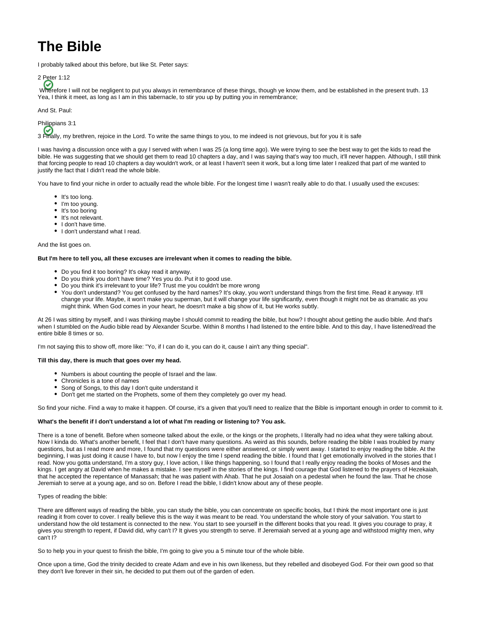## **The Bible**

I probably talked about this before, but like St. Peter says:



Wherefore I will not be negligent to put you always in remembrance of these things, though ye know them, and be established in the present truth. 13 Yea, I think it meet, as long as I am in this tabernacle, to stir you up by putting you in remembrance;

And St. Paul:



3 Finally, my brethren, rejoice in the Lord. To write the same things to you, to me indeed is not grievous, but for you it is safe

I was having a discussion once with a guy I served with when I was 25 (a long time ago). We were trying to see the best way to get the kids to read the bible. He was suggesting that we should get them to read 10 chapters a day, and I was saying that's way too much, it'll never happen. Although, I still think that forcing people to read 10 chapters a day wouldn't work, or at least I haven't seen it work, but a long time later I realized that part of me wanted to justify the fact that I didn't read the whole bible.

You have to find your niche in order to actually read the whole bible. For the longest time I wasn't really able to do that. I usually used the excuses:

- It's too long.
- I'm too young.
- $\bullet$  It's too boring
- It's not relevant.
- I don't have time.
- I don't understand what I read.

And the list goes on.

## **But I'm here to tell you, all these excuses are irrelevant when it comes to reading the bible.**

- Do you find it too boring? It's okay read it anyway.
- Do you think you don't have time? Yes you do. Put it to good use.
- Do you think it's irrelevant to your life? Trust me you couldn't be more wrong
- You don't understand? You get confused by the hard names? It's okay, you won't understand things from the first time. Read it anyway. It'll change your life. Maybe, it won't make you superman, but it will change your life significantly, even though it might not be as dramatic as you might think. When God comes in your heart, he doesn't make a big show of it, but He works subtly.

At 26 I was sitting by myself, and I was thinking maybe I should commit to reading the bible, but how? I thought about getting the audio bible. And that's when I stumbled on the Audio bible read by Alexander Scurbe. Within 8 months I had listened to the entire bible. And to this day, I have listened/read the entire bible 8 times or so.

I'm not saying this to show off, more like: "Yo, if I can do it, you can do it, cause I ain't any thing special".

## **Till this day, there is much that goes over my head.**

- Numbers is about counting the people of Israel and the law.
- Chronicles is a tone of names
- Song of Songs, to this day I don't quite understand it
- Don't get me started on the Prophets, some of them they completely go over my head.

So find your niche. Find a way to make it happen. Of course, it's a given that you'll need to realize that the Bible is important enough in order to commit to it.

## **What's the benefit if I don't understand a lot of what I'm reading or listening to? You ask.**

There is a tone of benefit. Before when someone talked about the exile, or the kings or the prophets, I literally had no idea what they were talking about. Now I kinda do. What's another benefit, I feel that I don't have many questions. As weird as this sounds, before reading the bible I was troubled by many questions, but as I read more and more, I found that my questions were either answered, or simply went away. I started to enjoy reading the bible. At the beginning, I was just doing it cause I have to, but now I enjoy the time I spend reading the bible. I found that I get emotionally involved in the stories that I read. Now you gotta understand, I'm a story guy, I love action, I like things happening, so I found that I really enjoy reading the books of Moses and the kings. I get angry at David when he makes a mistake. I see myself in the stories of the kings. I find courage that God listened to the prayers of Hezekaiah, that he accepted the repentance of Manassah; that he was patient with Ahab. That he put Josaiah on a pedestal when he found the law. That he chose Jeremiah to serve at a young age, and so on. Before I read the bible, I didn't know about any of these people.

Types of reading the bible:

There are different ways of reading the bible, you can study the bible, you can concentrate on specific books, but I think the most important one is just reading it from cover to cover. I really believe this is the way it was meant to be read. You understand the whole story of your salvation. You start to understand how the old testament is connected to the new. You start to see yourself in the different books that you read. It gives you courage to pray, it gives you strength to repent, if David did, why can't I? It gives you strength to serve. If Jeremaiah served at a young age and withstood mighty men, why can't I?

So to help you in your quest to finish the bible, I'm going to give you a 5 minute tour of the whole bible.

Once upon a time, God the trinity decided to create Adam and eve in his own likeness, but they rebelled and disobeyed God. For their own good so that they don't live forever in their sin, he decided to put them out of the garden of eden.